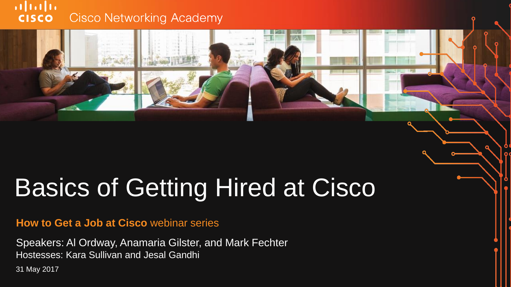#### $\mathbf{d}$  and  $\mathbf{d}$ **Cisco Networking Academy CISCO**

## Basics of Getting Hired at Cisco

#### **How to Get a Job at Cisco** webinar series

Hostesses: Kara Sullivan and Jesal Gandhi Speakers: Al Ordway, Anamaria Gilster, and Mark Fechter

31 May 2017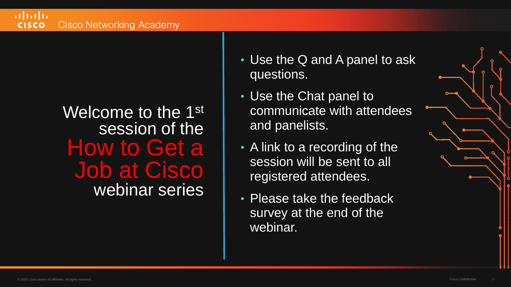#### Welcome to the 1<sup>st</sup> session of the How to Get a Job at Cisco webinar series

- Use the Q and A panel to ask questions.
- Use the Chat panel to communicate with attendees and panelists.
- A link to a recording of the session will be sent to all registered attendees.
- Please take the feedback survey at the end of the webinar.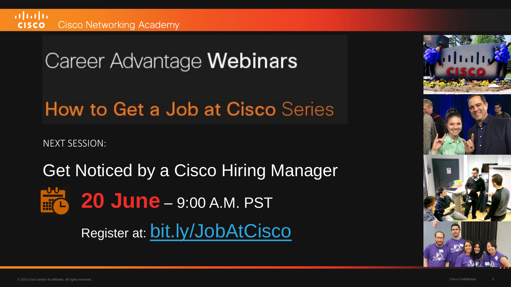Career Advantage Webinars

How to Get a Job at Cisco Series

NEXT SESSION:

Get Noticed by a Cisco Hiring Manager **20 June** – 9:00 A.M. PST Register at: [bit.ly/JobAtCisco](http://bit.ly/JobAtCisco)

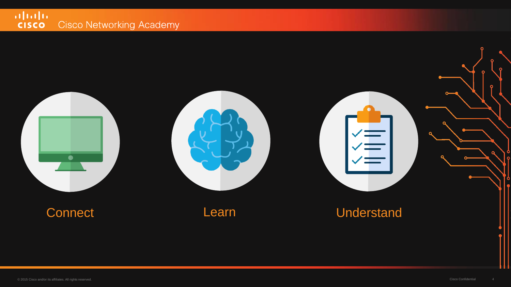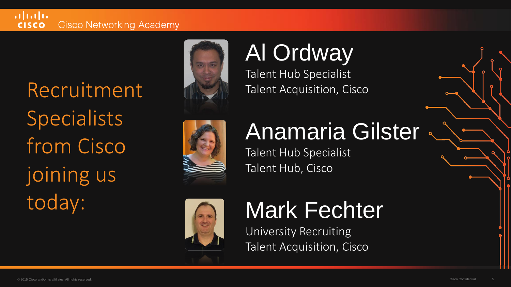#### $\mathbf{d}$  and  $\mathbf{d}$ **Cisco Networking Academy CISCO**

Recruitment Specialists from Cisco joining us today:





### Al Ordway

Talent Hub Specialist Talent Acquisition, Cisco

### Anamaria Gilster

Talent Hub Specialist Talent Hub, Cisco



### Mark Fechter

University Recruiting Talent Acquisition, Cisco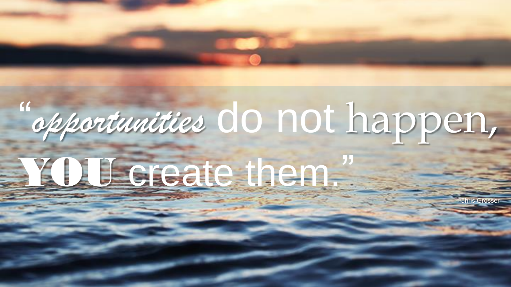# " *opportunities* do not happen,

© 2015 Cisco and/or its affiliates. All rights reserved. Cisco Confidential 6

# YOU create them."

**-Chris Grosser**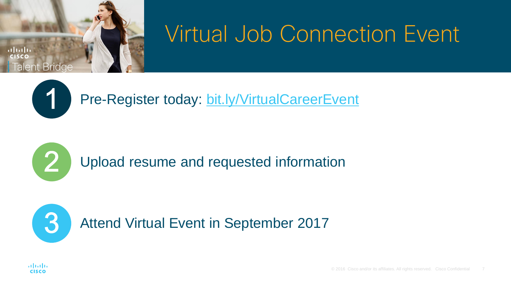

#### **Virtual Job Connection Event**



Pre-Register today: <bit.ly/VirtualCareerEvent>

Upload resume and requested information

Attend Virtual Event in September 2017



R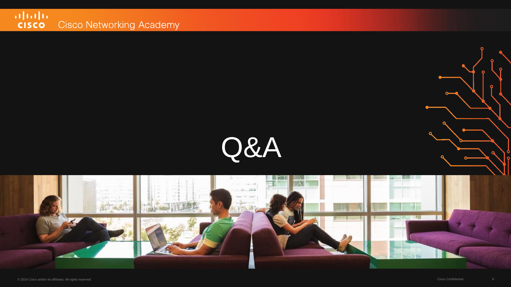